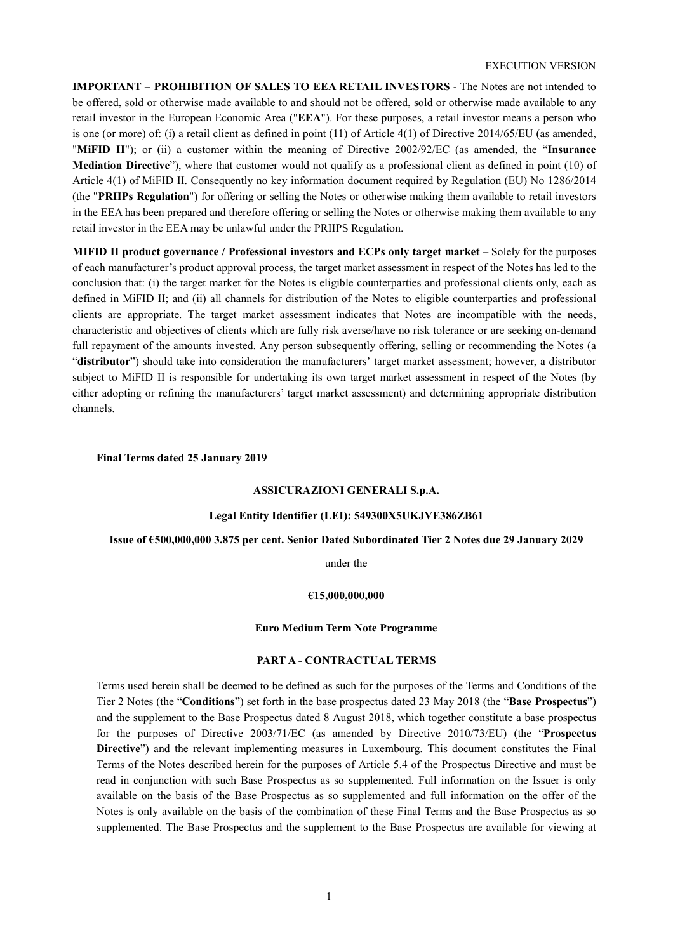**IMPORTANT – PROHIBITION OF SALES TO EEA RETAIL INVESTORS** - The Notes are not intended to be offered, sold or otherwise made available to and should not be offered, sold or otherwise made available to any retail investor in the European Economic Area ("**EEA**"). For these purposes, a retail investor means a person who is one (or more) of: (i) a retail client as defined in point  $(11)$  of Article  $4(1)$  of Directive 2014/65/EU (as amended, "**MiFID II**"); or (ii) a customer within the meaning of Directive 2002/92/EC (as amended, the "**Insurance Mediation Directive**"), where that customer would not qualify as a professional client as defined in point (10) of Article 4(1) of MiFID II. Consequently no key information document required by Regulation (EU) No 1286/2014 (the "**PRIIPs Regulation**") for offering or selling the Notes or otherwise making them available to retail investors in the EEA has been prepared and therefore offering or selling the Notes or otherwise making them available to any retail investor in the EEA may be unlawful under the PRIIPS Regulation.

**MIFID II product governance / Professional investors and ECPs only target market** – Solely for the purposes of each manufacturer's product approval process, the target market assessment in respect of the Notes has led to the conclusion that: (i) the target market for the Notes is eligible counterparties and professional clients only, each as defined in MiFID II; and (ii) all channels for distribution of the Notes to eligible counterparties and professional clients are appropriate. The target market assessment indicates that Notes are incompatible with the needs, characteristic and objectives of clients which are fully risk averse/have no risk tolerance or are seeking on-demand full repayment of the amounts invested. Any person subsequently offering, selling or recommending the Notes (a "**distributor**") should take into consideration the manufacturers' target market assessment; however, a distributor subject to MiFID II is responsible for undertaking its own target market assessment in respect of the Notes (by either adopting or refining the manufacturers' target market assessment) and determining appropriate distribution channels.

#### **Final Terms dated 25 January 2019**

#### **ASSICURAZIONI GENERALI S.p.A.**

#### **Legal Entity Identifier (LEI): 549300X5UKJVE386ZB61**

## **Issue of €500,000,000 3.875 per cent. Senior Dated Subordinated Tier 2 Notes due 29 January 2029**

under the

#### **€15,000,000,000**

#### **Euro Medium Term Note Programme**

## **PART A - CONTRACTUAL TERMS**

Terms used herein shall be deemed to be defined as such for the purposes of the Terms and Conditions of the Tier 2 Notes (the "**Conditions**") set forth in the base prospectus dated 23 May 2018 (the "**Base Prospectus**") and the supplement to the Base Prospectus dated 8 August 2018, which together constitute a base prospectus for the purposes of Directive 2003/71/EC (as amended by Directive 2010/73/EU) (the "**Prospectus Directive**") and the relevant implementing measures in Luxembourg. This document constitutes the Final Terms of the Notes described herein for the purposes of Article 5.4 of the Prospectus Directive and must be read in conjunction with such Base Prospectus as so supplemented. Full information on the Issuer is only available on the basis of the Base Prospectus as so supplemented and full information on the offer of the Notes is only available on the basis of the combination of these Final Terms and the Base Prospectus as so supplemented. The Base Prospectus and the supplement to the Base Prospectus are available for viewing at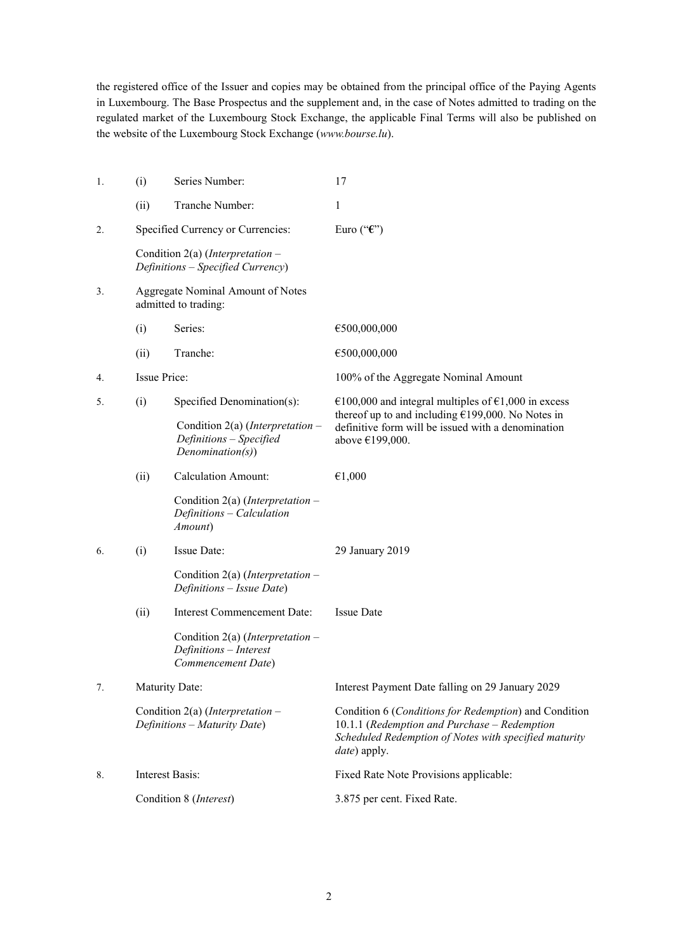the registered office of the Issuer and copies may be obtained from the principal office of the Paying Agents in Luxembourg. The Base Prospectus and the supplement and, in the case of Notes admitted to trading on the regulated market of the Luxembourg Stock Exchange, the applicable Final Terms will also be published on the website of the Luxembourg Stock Exchange (*www.bourse.lu*).

| 1. | (i)                               | Series Number:                                                                           | 17                                                                                                                                                                                     |  |
|----|-----------------------------------|------------------------------------------------------------------------------------------|----------------------------------------------------------------------------------------------------------------------------------------------------------------------------------------|--|
|    | (ii)                              | Tranche Number:                                                                          | 1                                                                                                                                                                                      |  |
| 2. |                                   | Specified Currency or Currencies:                                                        | Euro (" $\mathbf{\hat{\epsilon}}$ ")                                                                                                                                                   |  |
|    |                                   | Condition 2(a) (Interpretation $-$<br>Definitions - Specified Currency)                  |                                                                                                                                                                                        |  |
| 3. |                                   | Aggregate Nominal Amount of Notes<br>admitted to trading:                                |                                                                                                                                                                                        |  |
|    | (i)                               | Series:                                                                                  | €500,000,000                                                                                                                                                                           |  |
|    | (ii)                              | Tranche:                                                                                 | €500,000,000                                                                                                                                                                           |  |
| 4. | <b>Issue Price:</b>               |                                                                                          | 100% of the Aggregate Nominal Amount                                                                                                                                                   |  |
| 5. | Specified Denomination(s):<br>(i) |                                                                                          | €100,000 and integral multiples of €1,000 in excess                                                                                                                                    |  |
|    |                                   | Condition 2(a) ( <i>Interpretation</i> –<br>Definitions - Specified<br>Denominator(s)    | thereof up to and including $£199,000$ . No Notes in<br>definitive form will be issued with a denomination<br>above €199,000.                                                          |  |
|    | (ii)                              | <b>Calculation Amount:</b>                                                               | €1,000                                                                                                                                                                                 |  |
|    |                                   | Condition 2(a) (Interpretation $-$<br>Definitions - Calculation<br>Amount)               |                                                                                                                                                                                        |  |
| 6. | (i)                               | Issue Date:                                                                              | 29 January 2019                                                                                                                                                                        |  |
|    |                                   | Condition 2(a) ( <i>Interpretation</i> –<br>Definitions - Issue Date)                    |                                                                                                                                                                                        |  |
|    | (ii)                              | <b>Interest Commencement Date:</b>                                                       | <b>Issue Date</b>                                                                                                                                                                      |  |
|    |                                   | Condition 2(a) ( <i>Interpretation</i> –<br>Definitions - Interest<br>Commencement Date) |                                                                                                                                                                                        |  |
| 7. | Maturity Date:                    |                                                                                          | Interest Payment Date falling on 29 January 2029                                                                                                                                       |  |
|    |                                   | Condition 2(a) (Interpretation $-$<br>Definitions - Maturity Date)                       | Condition 6 (Conditions for Redemption) and Condition<br>10.1.1 (Redemption and Purchase - Redemption<br>Scheduled Redemption of Notes with specified maturity<br><i>date</i> ) apply. |  |
| 8. |                                   | <b>Interest Basis:</b>                                                                   | Fixed Rate Note Provisions applicable:                                                                                                                                                 |  |
|    |                                   | Condition 8 (Interest)                                                                   | 3.875 per cent. Fixed Rate.                                                                                                                                                            |  |
|    |                                   |                                                                                          |                                                                                                                                                                                        |  |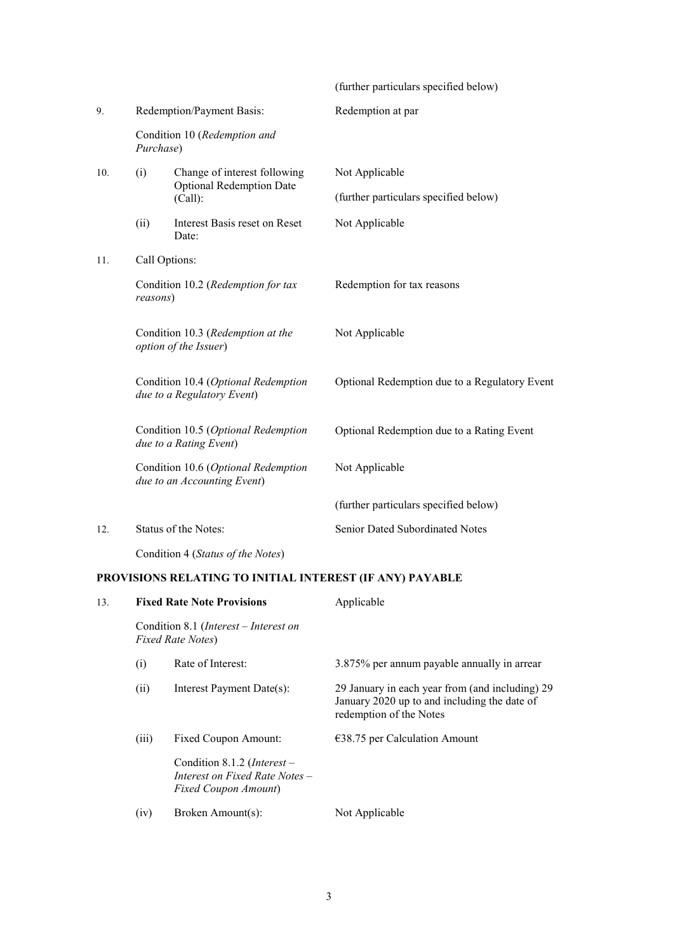|     |                                                                    |                                                                            | (further particulars specified below)         |  |  |  |
|-----|--------------------------------------------------------------------|----------------------------------------------------------------------------|-----------------------------------------------|--|--|--|
| 9.  |                                                                    | Redemption/Payment Basis:                                                  | Redemption at par                             |  |  |  |
|     | Purchase)                                                          | Condition 10 (Redemption and                                               |                                               |  |  |  |
| 10. | (i)                                                                | Change of interest following<br><b>Optional Redemption Date</b><br>(Call): | Not Applicable                                |  |  |  |
|     |                                                                    |                                                                            | (further particulars specified below)         |  |  |  |
|     | (ii)                                                               | Interest Basis reset on Reset<br>Date:                                     | Not Applicable                                |  |  |  |
| 11. |                                                                    | Call Options:                                                              |                                               |  |  |  |
|     | Condition 10.2 (Redemption for tax<br>reasons)                     |                                                                            | Redemption for tax reasons                    |  |  |  |
|     |                                                                    | Condition 10.3 (Redemption at the<br>option of the Issuer)                 | Not Applicable                                |  |  |  |
|     |                                                                    | Condition 10.4 (Optional Redemption<br>due to a Regulatory Event)          | Optional Redemption due to a Regulatory Event |  |  |  |
|     | Condition 10.5 (Optional Redemption<br>due to a Rating Event)      |                                                                            | Optional Redemption due to a Rating Event     |  |  |  |
|     | Condition 10.6 (Optional Redemption<br>due to an Accounting Event) |                                                                            | Not Applicable                                |  |  |  |
|     |                                                                    |                                                                            | (further particulars specified below)         |  |  |  |
| 12. |                                                                    | Status of the Notes:                                                       | Senior Dated Subordinated Notes               |  |  |  |
|     |                                                                    | Condition 4 (Status of the Notes)                                          |                                               |  |  |  |

# **PROVISIONS RELATING TO INITIAL INTEREST (IF ANY) PAYABLE**

| 13. |                                                                            | <b>Fixed Rate Note Provisions</b>                                                     | Applicable                                                                                                                 |
|-----|----------------------------------------------------------------------------|---------------------------------------------------------------------------------------|----------------------------------------------------------------------------------------------------------------------------|
|     | Condition 8.1 ( <i>Interest – Interest on</i><br><b>Fixed Rate Notes</b> ) |                                                                                       |                                                                                                                            |
|     | (i)                                                                        | Rate of Interest:                                                                     | 3.875% per annum payable annually in arrear                                                                                |
|     | (ii)                                                                       | Interest Payment Date(s):                                                             | 29 January in each year from (and including) 29<br>January 2020 up to and including the date of<br>redemption of the Notes |
|     | (iii)                                                                      | Fixed Coupon Amount:                                                                  | $\epsilon$ 38.75 per Calculation Amount                                                                                    |
|     |                                                                            | Condition 8.1.2 (Interest -<br>Interest on Fixed Rate Notes –<br>Fixed Coupon Amount) |                                                                                                                            |
|     | (iv)                                                                       | Broken Amount(s):                                                                     | Not Applicable                                                                                                             |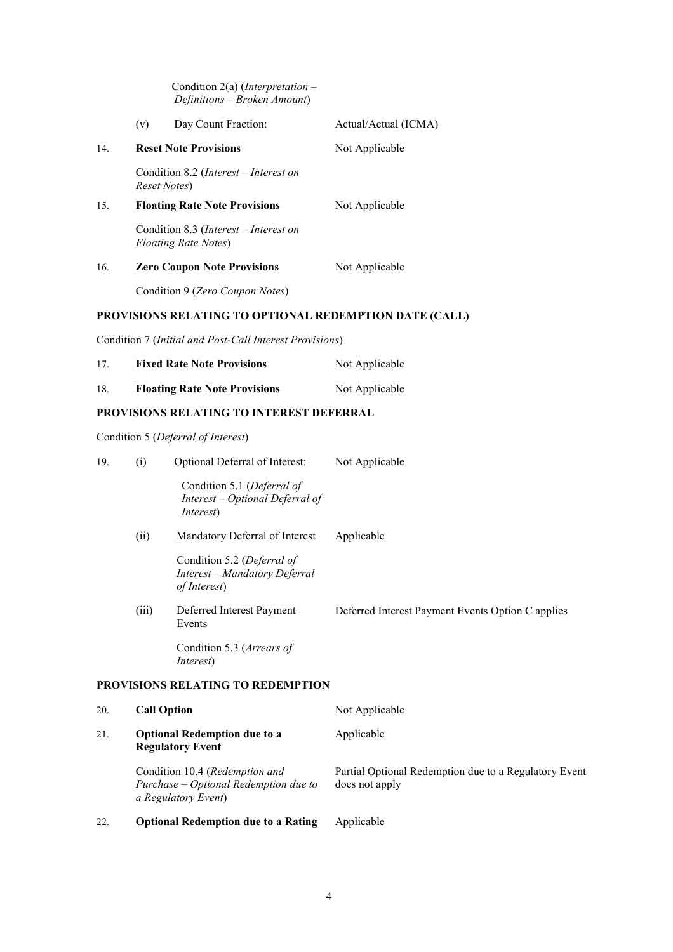|     |     | Condition $2(a)$ ( <i>Interpretation</i> –<br>Definitions – Broken Amount)    |                      |
|-----|-----|-------------------------------------------------------------------------------|----------------------|
|     | (v) | Day Count Fraction:                                                           | Actual/Actual (ICMA) |
| 14. |     | <b>Reset Note Provisions</b>                                                  | Not Applicable       |
|     |     | Condition 8.2 ( <i>Interest – Interest on</i><br>Reset Notes)                 |                      |
| 15. |     | <b>Floating Rate Note Provisions</b>                                          | Not Applicable       |
|     |     | Condition 8.3 ( <i>Interest – Interest on</i><br><b>Floating Rate Notes</b> ) |                      |
| 16. |     | <b>Zero Coupon Note Provisions</b>                                            | Not Applicable       |
|     |     | Condition 9 (Zero Coupon Notes)                                               |                      |
|     |     |                                                                               |                      |

## **PROVISIONS RELATING TO OPTIONAL REDEMPTION DATE (CALL)**

Condition 7 (*Initial and Post-Call Interest Provisions*)

| 17. | <b>Fixed Rate Note Provisions</b>    | Not Applicable |
|-----|--------------------------------------|----------------|
| 18. | <b>Floating Rate Note Provisions</b> | Not Applicable |

## **PROVISIONS RELATING TO INTEREST DEFERRAL**

Condition 5 (*Deferral of Interest*)

| 19. | (i)   | Optional Deferral of Interest:                                                                 | Not Applicable                                                          |
|-----|-------|------------------------------------------------------------------------------------------------|-------------------------------------------------------------------------|
|     |       | Condition 5.1 (Deferral of<br>Interest – Optional Deferral of<br><i>Interest</i> )             |                                                                         |
|     | (ii)  | Mandatory Deferral of Interest                                                                 | Applicable                                                              |
|     |       | Condition 5.2 (Deferral of<br>Interest - Mandatory Deferral<br>of Interest)                    |                                                                         |
|     | (iii) | Deferred Interest Payment<br>Events                                                            | Deferred Interest Payment Events Option C applies                       |
|     |       | Condition 5.3 (Arrears of<br><i>Interest</i> )                                                 |                                                                         |
|     |       | PROVISIONS RELATING TO REDEMPTION                                                              |                                                                         |
| 20. |       | <b>Call Option</b>                                                                             | Not Applicable                                                          |
| 21. |       | <b>Optional Redemption due to a</b><br><b>Regulatory Event</b>                                 | Applicable                                                              |
|     |       | Condition 10.4 (Redemption and<br>Purchase - Optional Redemption due to<br>a Regulatory Event) | Partial Optional Redemption due to a Regulatory Event<br>does not apply |
| 22. |       | <b>Optional Redemption due to a Rating</b>                                                     | Applicable                                                              |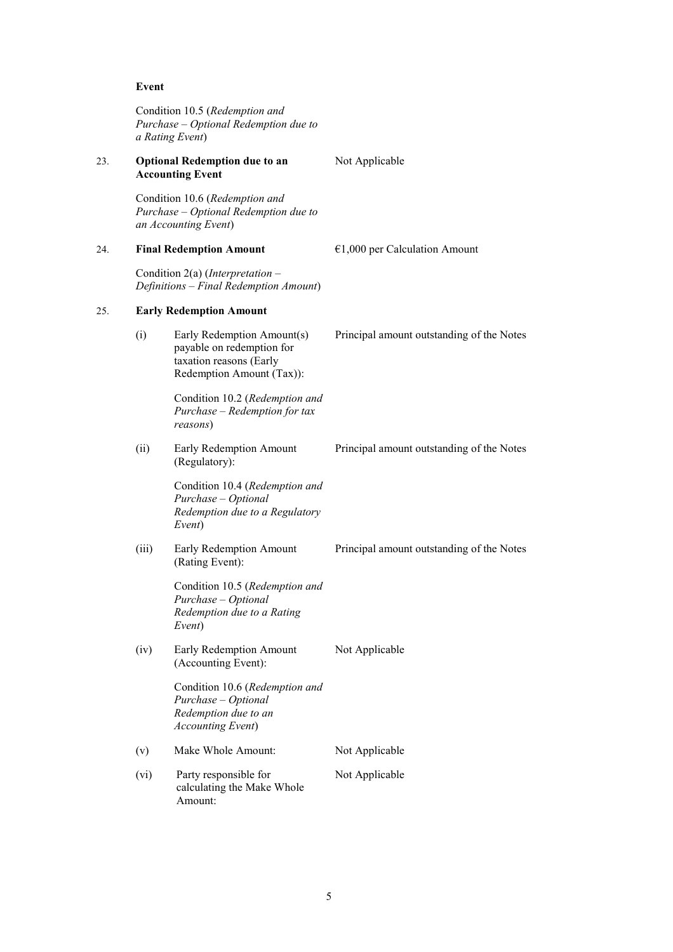## **Event**

|     |       | Condition 10.5 (Redemption and<br>Purchase - Optional Redemption due to<br>a Rating Event)                      |                                           |  |
|-----|-------|-----------------------------------------------------------------------------------------------------------------|-------------------------------------------|--|
| 23. |       | <b>Optional Redemption due to an</b><br><b>Accounting Event</b>                                                 | Not Applicable                            |  |
|     |       | Condition 10.6 (Redemption and<br>Purchase - Optional Redemption due to<br>an Accounting Event)                 |                                           |  |
| 24. |       | <b>Final Redemption Amount</b>                                                                                  | $€1,000$ per Calculation Amount           |  |
|     |       | Condition 2(a) ( <i>Interpretation</i> –<br>Definitions – Final Redemption Amount)                              |                                           |  |
| 25. |       | <b>Early Redemption Amount</b>                                                                                  |                                           |  |
|     | (i)   | Early Redemption Amount(s)<br>payable on redemption for<br>taxation reasons (Early<br>Redemption Amount (Tax)): | Principal amount outstanding of the Notes |  |
|     |       | Condition 10.2 (Redemption and<br>Purchase - Redemption for tax<br>reasons)                                     |                                           |  |
|     | (ii)  | Early Redemption Amount<br>(Regulatory):                                                                        | Principal amount outstanding of the Notes |  |
|     |       | Condition 10.4 (Redemption and<br>Purchase – Optional<br>Redemption due to a Regulatory<br>Event)               |                                           |  |
|     | (iii) | Early Redemption Amount<br>(Rating Event):                                                                      | Principal amount outstanding of the Notes |  |
|     |       | Condition 10.5 (Redemption and<br>Purchase – Optional<br>Redemption due to a Rating<br>Event)                   |                                           |  |
|     | (iv)  | Early Redemption Amount<br>(Accounting Event):                                                                  | Not Applicable                            |  |
|     |       | Condition 10.6 (Redemption and<br>Purchase - Optional<br>Redemption due to an<br><b>Accounting Event</b> )      |                                           |  |
|     | (v)   | Make Whole Amount:                                                                                              | Not Applicable                            |  |
|     | (vi)  | Party responsible for<br>calculating the Make Whole<br>Amount:                                                  | Not Applicable                            |  |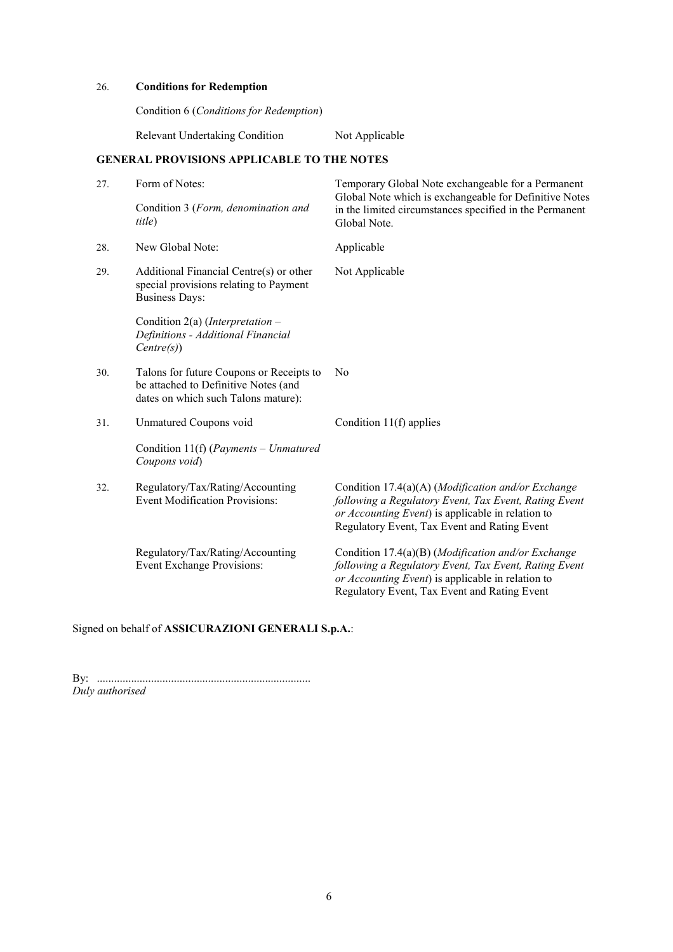## 26. **Conditions for Redemption**

Condition 6 (*Conditions for Redemption*)

Relevant Undertaking Condition Not Applicable

## **GENERAL PROVISIONS APPLICABLE TO THE NOTES**

| 27. | Form of Notes:<br>Condition 3 (Form, denomination and<br>title)                                                         | Temporary Global Note exchangeable for a Permanent<br>Global Note which is exchangeable for Definitive Notes<br>in the limited circumstances specified in the Permanent<br>Global Note.                                  |
|-----|-------------------------------------------------------------------------------------------------------------------------|--------------------------------------------------------------------------------------------------------------------------------------------------------------------------------------------------------------------------|
| 28. | New Global Note:                                                                                                        | Applicable                                                                                                                                                                                                               |
| 29. | Additional Financial Centre(s) or other<br>special provisions relating to Payment<br><b>Business Days:</b>              | Not Applicable                                                                                                                                                                                                           |
|     | Condition 2(a) (Interpretation –<br>Definitions - Additional Financial<br>Centre(s))                                    |                                                                                                                                                                                                                          |
| 30. | Talons for future Coupons or Receipts to<br>be attached to Definitive Notes (and<br>dates on which such Talons mature): | N <sub>0</sub>                                                                                                                                                                                                           |
| 31. | Unmatured Coupons void                                                                                                  | Condition 11(f) applies                                                                                                                                                                                                  |
|     | Condition 11(f) (Payments – Unmatured<br>Coupons void)                                                                  |                                                                                                                                                                                                                          |
| 32. | Regulatory/Tax/Rating/Accounting<br><b>Event Modification Provisions:</b>                                               | Condition 17.4(a)(A) ( <i>Modification and/or Exchange</i><br>following a Regulatory Event, Tax Event, Rating Event<br>or Accounting Event) is applicable in relation to<br>Regulatory Event, Tax Event and Rating Event |
|     | Regulatory/Tax/Rating/Accounting<br>Event Exchange Provisions:                                                          | Condition 17.4(a)(B) (Modification and/or Exchange<br>following a Regulatory Event, Tax Event, Rating Event<br>or Accounting Event) is applicable in relation to<br>Regulatory Event, Tax Event and Rating Event         |

# Signed on behalf of **ASSICURAZIONI GENERALI S.p.A.**:

By: ........................................................................... *Duly authorised*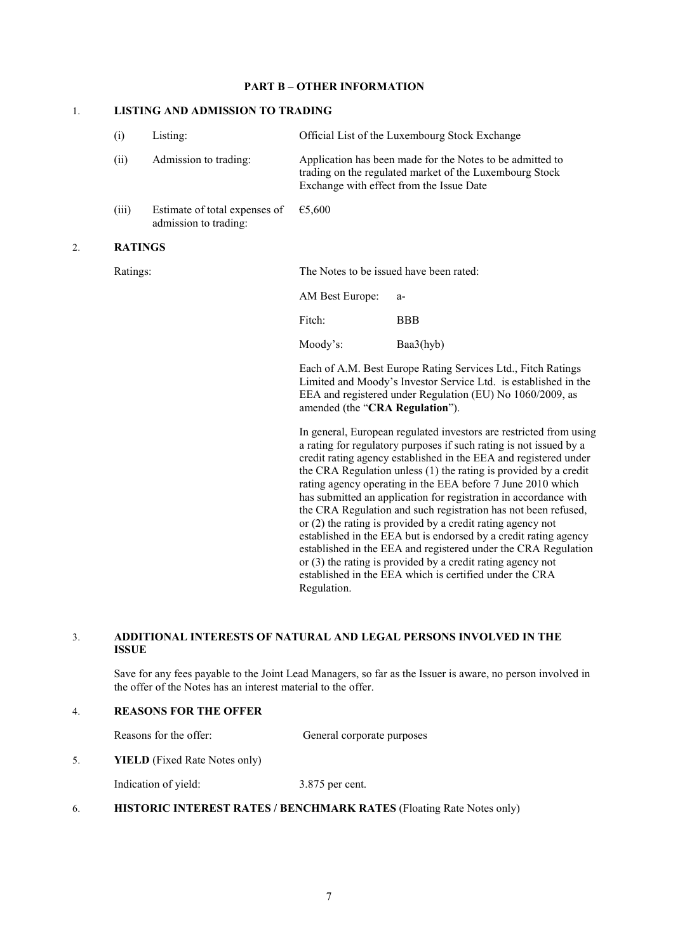## **PART B – OTHER INFORMATION**

## 1. **LISTING AND ADMISSION TO TRADING**

|    | (i)            | Listing:                                               |                                         | Official List of the Luxembourg Stock Exchange                                                                                                                                                                                                                                                                                                                                                                                                                                                                                                                                                                                                                                               |
|----|----------------|--------------------------------------------------------|-----------------------------------------|----------------------------------------------------------------------------------------------------------------------------------------------------------------------------------------------------------------------------------------------------------------------------------------------------------------------------------------------------------------------------------------------------------------------------------------------------------------------------------------------------------------------------------------------------------------------------------------------------------------------------------------------------------------------------------------------|
|    | (ii)           | Admission to trading:                                  |                                         | Application has been made for the Notes to be admitted to<br>trading on the regulated market of the Luxembourg Stock<br>Exchange with effect from the Issue Date                                                                                                                                                                                                                                                                                                                                                                                                                                                                                                                             |
|    | (iii)          | Estimate of total expenses of<br>admission to trading: | €5,600                                  |                                                                                                                                                                                                                                                                                                                                                                                                                                                                                                                                                                                                                                                                                              |
| 2. | <b>RATINGS</b> |                                                        |                                         |                                                                                                                                                                                                                                                                                                                                                                                                                                                                                                                                                                                                                                                                                              |
|    | Ratings:       |                                                        | The Notes to be issued have been rated: |                                                                                                                                                                                                                                                                                                                                                                                                                                                                                                                                                                                                                                                                                              |
|    |                |                                                        | AM Best Europe:                         | a-                                                                                                                                                                                                                                                                                                                                                                                                                                                                                                                                                                                                                                                                                           |
|    |                |                                                        | Fitch:                                  | <b>BBB</b>                                                                                                                                                                                                                                                                                                                                                                                                                                                                                                                                                                                                                                                                                   |
|    |                |                                                        | Moody's:                                | Baa3(hyb)                                                                                                                                                                                                                                                                                                                                                                                                                                                                                                                                                                                                                                                                                    |
|    |                |                                                        | amended (the "CRA Regulation").         | Each of A.M. Best Europe Rating Services Ltd., Fitch Ratings<br>Limited and Moody's Investor Service Ltd. is established in the<br>EEA and registered under Regulation (EU) No 1060/2009, as                                                                                                                                                                                                                                                                                                                                                                                                                                                                                                 |
|    |                |                                                        |                                         | In general, European regulated investors are restricted from using<br>a rating for regulatory purposes if such rating is not issued by a<br>credit rating agency established in the EEA and registered under<br>the CRA Regulation unless (1) the rating is provided by a credit<br>rating agency operating in the EEA before 7 June 2010 which<br>has submitted an application for registration in accordance with<br>the CRA Regulation and such registration has not been refused,<br>or $(2)$ the rating is provided by a credit rating agency not<br>established in the EEA but is endorsed by a credit rating agency<br>established in the EEA and registered under the CRA Regulation |

## 3. **ADDITIONAL INTERESTS OF NATURAL AND LEGAL PERSONS INVOLVED IN THE ISSUE**

Regulation.

 Save for any fees payable to the Joint Lead Managers, so far as the Issuer is aware, no person involved in the offer of the Notes has an interest material to the offer.

or (3) the rating is provided by a credit rating agency not established in the EEA which is certified under the CRA

## 4. **REASONS FOR THE OFFER**

Reasons for the offer: General corporate purposes

5. **YIELD** (Fixed Rate Notes only)

Indication of yield: 3.875 per cent.

6. **HISTORIC INTEREST RATES / BENCHMARK RATES** (Floating Rate Notes only)